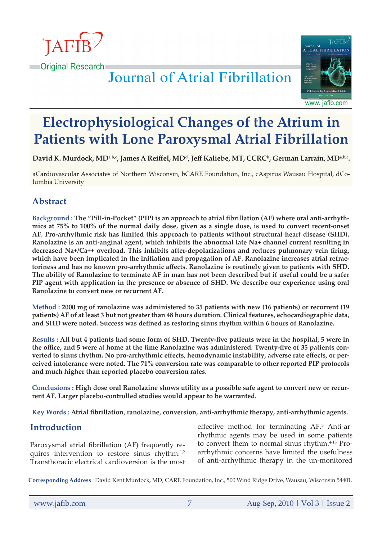



# **Journal of Atrial Fibrillation**

www. jafib.com

# **Electrophysiological Changes of the Atrium in Patients with Lone Paroxysmal Atrial Fibrillation**

**David K. Murdock, MDa,b,c, James A Reiffel, MD<sup>d</sup>, Jeff Kaliebe, MT, CCRCb, German Larrain, MDa,b,c.**

aCardiovascular Associates of Northern Wisconsin, bCARE Foundation, Inc., cAspirus Wausau Hospital, dColumbia University

# **Abstract**

**Background : The "Pill-in-Pocket" (PIP) is an approach to atrial fibrillation (AF) where oral anti-arrhythmics at 75% to 100% of the normal daily dose, given as a single dose, is used to convert recent-onset AF. Pro-arrhythmic risk has limited this approach to patients without structural heart disease (SHD). Ranolazine is an anti-anginal agent, which inhibits the abnormal late Na+ channel current resulting in decreased Na+/Ca++ overload. This inhibits after-depolarizations and reduces pulmonary vein firing, which have been implicated in the initiation and propagation of AF. Ranolazine increases atrial refractoriness and has no known pro-arrhythmic affects. Ranolazine is routinely given to patients with SHD. The ability of Ranolazine to terminate AF in man has not been described but if useful could be a safer PIP agent with application in the presence or absence of SHD. We describe our experience using oral Ranolazine to convert new or recurrent AF.**

**Method : 2000 mg of ranolazine was administered to 35 patients with new (16 patients) or recurrent (19 patients) AF of at least 3 but not greater than 48 hours duration. Clinical features, echocardiographic data, and SHD were noted. Success was defined as restoring sinus rhythm within 6 hours of Ranolazine.**

**Results : All but 4 patients had some form of SHD. Twenty-five patients were in the hospital, 5 were in the office, and 5 were at home at the time Ranolazine was administered. Twenty-five of 35 patients converted to sinus rhythm. No pro-arrhythmic effects, hemodynamic instability, adverse rate effects, or perceived intolerance were noted. The 71% conversion rate was comparable to other reported PIP protocols and much higher than reported placebo conversion rates.**

**Conclusions : High dose oral Ranolazine shows utility as a possible safe agent to convert new or recurrent AF. Larger placebo-controlled studies would appear to be warranted.**

**Key Words : Atrial fibrillation, ranolazine, conversion, anti-arrhythmic therapy, anti-arrhythmic agents.**

# **Introduction**

Paroxysmal atrial fibrillation (AF) frequently requires intervention to restore sinus rhythm.<sup>1,2</sup> Transthoracic electrical cardioversion is the most

effective method for terminating AF.<sup>3</sup> Anti-arrhythmic agents may be used in some patients to convert them to normal sinus rhythm.<sup>4-13</sup> Proarrhythmic concerns have limited the usefulness of anti-arrhythmic therapy in the un-monitored

**Corresponding Address** : David Kent Murdock, MD, CARE Foundation, Inc., 500 Wind Ridge Drive, Wausau, Wisconsin 54401.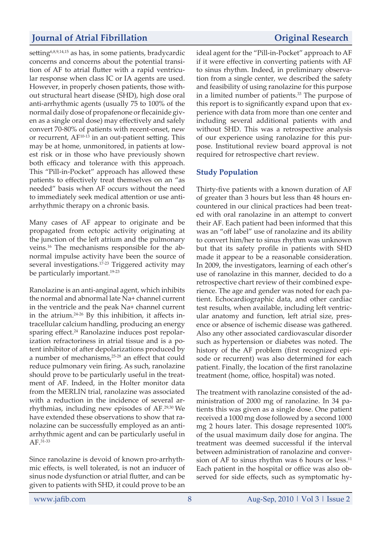setting<sup>6,8,9,14,15</sup> as has, in some patients, bradycardic concerns and concerns about the potential transition of AF to atrial flutter with a rapid ventricular response when class IC or IA agents are used. However, in properly chosen patients, those without structural heart disease (SHD), high dose oral anti-arrhythmic agents (usually 75 to 100% of the normal daily dose of propafenone or flecainide given as a single oral dose) may effectively and safely convert 70-80% of patients with recent-onset, new or recurrent,  $AF^{10-13}$  in an out-patient setting. This may be at home, unmonitored, in patients at lowest risk or in those who have previously shown both efficacy and tolerance with this approach. This "Pill-in-Pocket" approach has allowed these patients to effectively treat themselves on an "as needed" basis when AF occurs without the need to immediately seek medical attention or use antiarrhythmic therapy on a chronic basis.

Many cases of AF appear to originate and be propagated from ectopic activity originating at the junction of the left atrium and the pulmonary veins.16 The mechanisms responsible for the abnormal impulse activity have been the source of several investigations.<sup>17-23</sup> Triggered activity may be particularly important.<sup>19-23</sup>

Ranolazine is an anti-anginal agent, which inhibits the normal and abnormal late Na+ channel current in the ventricle and the peak Na+ channel current in the atrium.24-26 By this inhibition, it affects intracellular calcium handling, producing an energy sparing effect.<sup>24</sup> Ranolazine induces post repolarization refractoriness in atrial tissue and is a potent inhibitor of after depolarizations produced by a number of mechanisms,25-28 an effect that could reduce pulmonary vein firing. As such, ranolazine should prove to be particularly useful in the treatment of AF. Indeed, in the Holter monitor data from the MERLIN trial, ranolazine was associated with a reduction in the incidence of several arrhythmias, including new episodes of AF.29,30 We have extended these observations to show that ranolazine can be successfully employed as an antiarrhythmic agent and can be particularly useful in AF.31-33

Since ranolazine is devoid of known pro-arrhythmic effects, is well tolerated, is not an inducer of sinus node dysfunction or atrial flutter, and can be given to patients with SHD, it could prove to be an

ideal agent for the "Pill-in-Pocket" approach to AF if it were effective in converting patients with AF to sinus rhythm. Indeed, in preliminary observation from a single center, we described the safety and feasibility of using ranolazine for this purpose in a limited number of patients.<sup>33</sup> The purpose of this report is to significantly expand upon that experience with data from more than one center and including several additional patients with and without SHD. This was a retrospective analysis of our experience using ranolazine for this purpose. Institutional review board approval is not required for retrospective chart review.

### **Study Population**

Thirty-five patients with a known duration of AF of greater than 3 hours but less than 48 hours encountered in our clinical practices had been treated with oral ranolazine in an attempt to convert their AF. Each patient had been informed that this was an "off label" use of ranolazine and its ability to convert him/her to sinus rhythm was unknown but that its safety profile in patients with SHD made it appear to be a reasonable consideration. In 2009, the investigators, learning of each other's use of ranolazine in this manner, decided to do a retrospective chart review of their combined experience. The age and gender was noted for each patient. Echocardiographic data, and other cardiac test results, when available, including left ventricular anatomy and function, left atrial size, presence or absence of ischemic disease was gathered. Also any other associated cardiovascular disorder such as hypertension or diabetes was noted. The history of the AF problem (first recognized episode or recurrent) was also determined for each patient. Finally, the location of the first ranolazine treatment (home, office, hospital) was noted.

The treatment with ranolazine consisted of the administration of 2000 mg of ranolazine. In 34 patients this was given as a single dose. One patient received a 1000 mg dose followed by a second 1000 mg 2 hours later. This dosage represented 100% of the usual maximum daily dose for angina. The treatment was deemed successful if the interval between administration of ranolazine and conversion of AF to sinus rhythm was 6 hours or less. $^{11}$ Each patient in the hospital or office was also observed for side effects, such as symptomatic hy-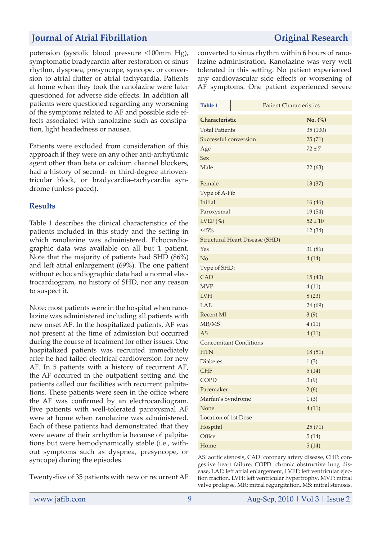potension (systolic blood pressure <100mm Hg), symptomatic bradycardia after restoration of sinus rhythm, dyspnea, presyncope, syncope, or conversion to atrial flutter or atrial tachycardia. Patients at home when they took the ranolazine were later questioned for adverse side effects. In addition all patients were questioned regarding any worsening of the symptoms related to AF and possible side effects associated with ranolazine such as constipation, light headedness or nausea.

Patients were excluded from consideration of this approach if they were on any other anti-arrhythmic agent other than beta or calcium channel blockers, had a history of second- or third-degree atrioventricular block, or bradycardia–tachycardia syndrome (unless paced).

### **Results**

Table 1 describes the clinical characteristics of the patients included in this study and the setting in which ranolazine was administered. Echocardiographic data was available on all but 1 patient. Note that the majority of patients had SHD (86%) and left atrial enlargement (69%). The one patient without echocardiographic data had a normal electrocardiogram, no history of SHD, nor any reason to suspect it.

Note: most patients were in the hospital when ranolazine was administered including all patients with new onset AF. In the hospitalized patients, AF was not present at the time of admission but occurred during the course of treatment for other issues. One hospitalized patients was recruited immediately after he had failed electrical cardioversion for new AF. In 5 patients with a history of recurrent AF, the AF occurred in the outpatient setting and the patients called our facilities with recurrent palpitations. These patients were seen in the office where the AF was confirmed by an electrocardiogram. Five patients with well-tolerated paroxysmal AF were at home when ranolazine was administered. Each of these patients had demonstrated that they were aware of their arrhythmia because of palpitations but were hemodynamically stable (i.e., without symptoms such as dyspnea, presyncope, or syncope) during the episodes.

Twenty-five of 35 patients with new or recurrent AF

converted to sinus rhythm within 6 hours of ranolazine administration. Ranolazine was very well tolerated in this setting. No patient experienced any cardiovascular side effects or worsening of AF symptoms. One patient experienced severe

| <b>Table 1</b>                        | <b>Patient Characteristics</b> |             |
|---------------------------------------|--------------------------------|-------------|
| Characteristic                        |                                | No. (%)     |
| <b>Total Patients</b>                 |                                | 35 (100)    |
| Successful conversion                 |                                | 25(71)      |
| Age                                   |                                | $72 \pm 7$  |
| <b>Sex</b>                            |                                |             |
| Male                                  |                                | 22(63)      |
| Female                                |                                | 13 (37)     |
| Type of A-Fib                         |                                |             |
| Initial                               |                                | 16(46)      |
| Paroxysmal                            |                                | 19 (54)     |
| LVEF $(\%)$                           |                                | $52 \pm 10$ |
| $\leq 45\%$                           |                                | 12 (34)     |
| <b>Structural Heart Disease (SHD)</b> |                                |             |
| Yes                                   |                                | 31 (86)     |
| No                                    |                                | 4(14)       |
| Type of SHD:                          |                                |             |
| <b>CAD</b>                            |                                | 15(43)      |
| <b>MVP</b>                            |                                | 4(11)       |
| <b>LVH</b>                            |                                | 8(23)       |
| LAE                                   |                                | 24 (69)     |
| <b>Recent MI</b>                      |                                | 3(9)        |
| MR/MS                                 |                                | 4(11)       |
| <b>AS</b>                             |                                | 4(11)       |
| <b>Concomitant Conditions</b>         |                                |             |
| <b>HTN</b>                            |                                | 18(51)      |
| <b>Diabetes</b>                       |                                | 1(3)        |
| <b>CHF</b>                            |                                | 5(14)       |
| <b>COPD</b>                           |                                | 3(9)        |
| Pacemaker                             |                                | 2(6)        |
| Marfan's Syndrome                     |                                | 1(3)        |
| None                                  |                                | 4(11)       |
| Location of 1st Dose                  |                                |             |
| Hospital                              |                                | 25(71)      |
| Office                                |                                | 5(14)       |
| Home                                  |                                | 5(14)       |

AS: aortic stenosis, CAD: coronary artery disease, CHF: congestive heart failure, COPD: chronic obstructive lung disease, LAE: left atrial enlargement, LVEF: left ventricular ejection fraction, LVH: left ventricular hypertrophy, MVP: mitral valve prolapse, MR: mitral regurgitation, MS: mitral stenosis.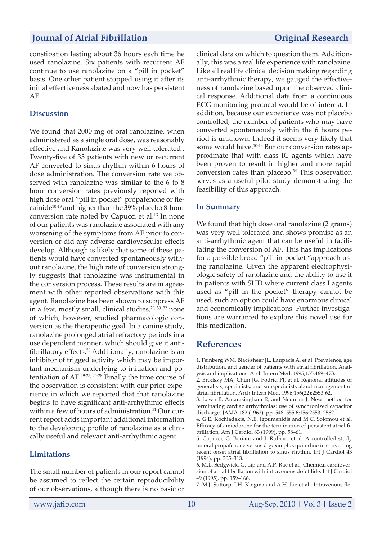constipation lasting about 36 hours each time he used ranolazine. Six patients with recurrent AF continue to use ranolazine on a "pill in pocket" basis. One other patient stopped using it after its initial effectiveness abated and now has persistent AF.

### **Discussion**

We found that 2000 mg of oral ranolazine, when administered as a single oral dose, was reasonably effective and Ranolazine was very well tolerated . Twenty-five of 35 patients with new or recurrent AF converted to sinus rhythm within 6 hours of dose administration. The conversion rate we observed with ranolazine was similar to the 6 to 8 hour conversion rates previously reported with high dose oral "pill in pocket" propafenone or flecainide<sup>10-13</sup> and higher than the 39% placebo 8-hour conversion rate noted by Capucci et al.13 In none of our patients was ranolazine associated with any worsening of the symptoms from AF prior to conversion or did any adverse cardiovascular effects develop. Although is likely that some of these patients would have converted spontaneously without ranolazine, the high rate of conversion strongly suggests that ranolazine was instrumental in the conversion process. These results are in agreement with other reported observations with this agent. Ranolazine has been shown to suppress AF in a few, mostly small, clinical studies,<sup>29, 30, 32</sup> none of which, however, studied pharmacologic conversion as the therapeutic goal. In a canine study, ranolazine prolonged atrial refractory periods in a use dependent manner, which should give it antifibrillatory effects.26 Additionally, ranolazine is an inhibitor of trigged activity which may be important mechanism underlying to initiation and potentiation of AF.19-23, 25-28 Finally the time course of the observation is consistent with our prior experience in which we reported that that ranolazine begins to have significant anti-arrhythmic effects within a few of hours of administration.<sup>31</sup> Our current report adds important additional information to the developing profile of ranolazine as a clinically useful and relevant anti-arrhythmic agent.

### **Limitations**

The small number of patients in our report cannot be assumed to reflect the certain reproducibility of our observations, although there is no basic or clinical data on which to question them. Additionally, this was a real life experience with ranolazine. Like all real life clinical decision making regarding anti-arrhythmic therapy, we gauged the effectiveness of ranolazine based upon the observed clinical response. Additional data from a continuous ECG monitoring protocol would be of interest. In addition, because our experience was not placebo controlled, the number of patients who may have converted spontaneously within the 6 hours period is unknown. Indeed it seems very likely that some would have.<sup>10-13</sup> But our conversion rates approximate that with class IC agents which have been proven to result in higher and more rapid conversion rates than placebo.<sup>34</sup> This observation serves as a useful pilot study demonstrating the feasibility of this approach.

### **In Summary**

We found that high dose oral ranolazine (2 grams) was very well tolerated and shows promise as an anti-arrhythmic agent that can be useful in facilitating the conversion of AF. This has implications for a possible broad "pill-in-pocket "approach using ranolazine. Given the apparent electrophysiologic safety of ranolazine and the ability to use it in patients with SHD where current class I agents used as "pill in the pocket" therapy cannot be used, such an option could have enormous clinical and economically implications. Further investigations are warranted to explore this novel use for this medication.

## **References**

1. Feinberg WM, Blackshear JL, Laupacis A, et al. Prevalence, age distribution, and gender of patients with atrial fibrillation. Analysis and implications. Arch Intern Med. 1995;155:469–473.

2. Brodsky MA, Chun JG, Podrid PJ, et al. Regional attitudes of generalists, specialists, and subspecialists about management of atrial fibrillation. Arch Intern Med. 1996;156(22):2553-62.

3. Lown B, Amarasingham R, and Neuman J. New method for terminating cardiac arrhythmias: use of synchronized capacitor discharge, JAMA 182 (1962), pp. 548–555.6;156:2553–2562.

4. G.E. Kochiadakis, N.E. Igoumenidis and M.C. Solomou et al. Efficacy of amiodarone for the termination of persistent atrial fibrillation, Am J Cardiol 83 (1999), pp. 58–61.

5. Capucci, G. Boriani and I. Rubino, et al. A controlled study on oral propafenone versus digoxin plus quinidine in converting recent onset atrial fibrillation to sinus rhythm, Int J Cardiol 43 (1994), pp. 305–313.

6. M.L. Sedgwick, G. Lip and A.P. Rae et al., Chemical cardioversion of atrial fibrillation with intravenous dofetilide, Int J Cardiol 49 (1995), pp. 159–166.

7. M.J. Suttorp, J.H. Kingma and A.H. Lie et al., Intravenous fle-